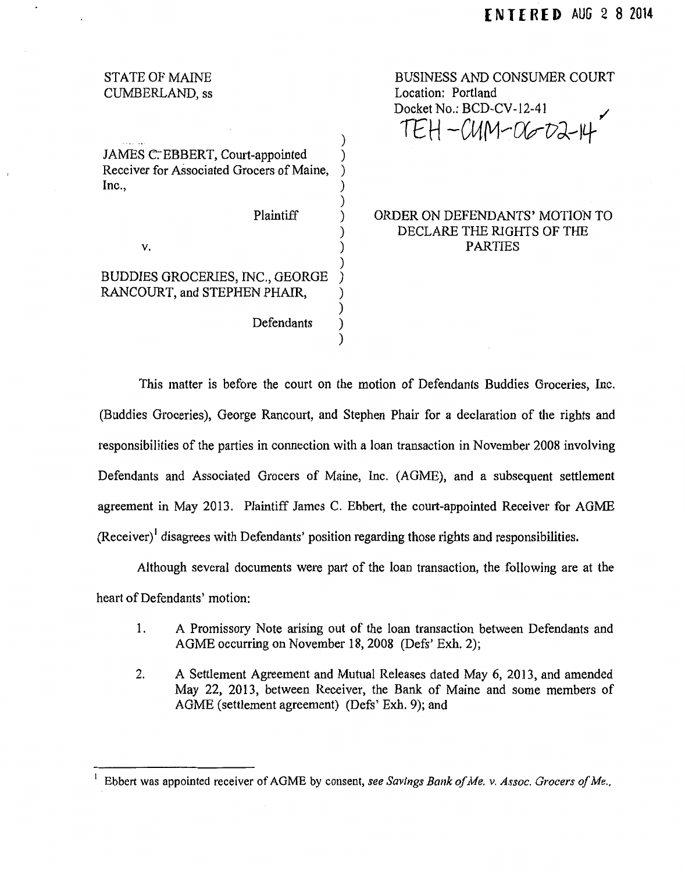| <b>STATE OF MAINE</b>                     |  |
|-------------------------------------------|--|
| CUMBERLAND, ss                            |  |
|                                           |  |
|                                           |  |
|                                           |  |
| JAMES C. EBBERT, Court-appointed          |  |
|                                           |  |
| Receiver for Associated Grocers of Maine, |  |
| Inc.,                                     |  |
|                                           |  |
| Plaintiff                                 |  |
|                                           |  |
| v.                                        |  |
|                                           |  |
| <b>BUDDIES GROCERIES, INC., GEORGE</b>    |  |
|                                           |  |
| RANCOURT, and STEPHEN PHAIR,              |  |
|                                           |  |
| Defendants                                |  |
|                                           |  |
|                                           |  |

BUSINESS AND CONSUMER COURT Location: Portland Docket No.: BCD-CV-12-41  $TEH - CUM - CO - D2-H$ 

# ORDER ON DEFENDANTS' MOTION TO DECLARE THE RIGHTS OF THE PARTIES

This matter is before the court on the motion of Defendants Buddies Groceries, Inc. (Buddies Groceries), George Rancourt, and Stephen Phair for a declaration of the rights and responsibilities of the parties in connection with a loan transaction in November 2008 involving Defendants and Associated Grocers of Maine, Inc. (AGME), and a subsequent settlement agreement in May 2013. Plaintiff James C. Ebbert, the court-appointed Receiver for AGME  $(Receiver)$ <sup>1</sup> disagrees with Defendants' position regarding those rights and responsibilities.

Although several documents were part of the loan transaction, the following are at the heart of Defendants' motion:

- 1. A Promissory Note arising out of the loan transaction between Defendants and AGME occurring on November 18, 2008 (Defs' Exh. 2);
- 2. A Settlement Agreement and Mutual Releases dated May 6, 2013, and amended May 22, 2013, between Receiver, the Bank of Maine and some members of AGME (settlement agreement) (Defs' Exh. 9); and

<sup>1</sup>Ebbert was appointed receiver of AG ME by consent, *see Savings Bank of Me. v. Assoc. Grocers of Me.,*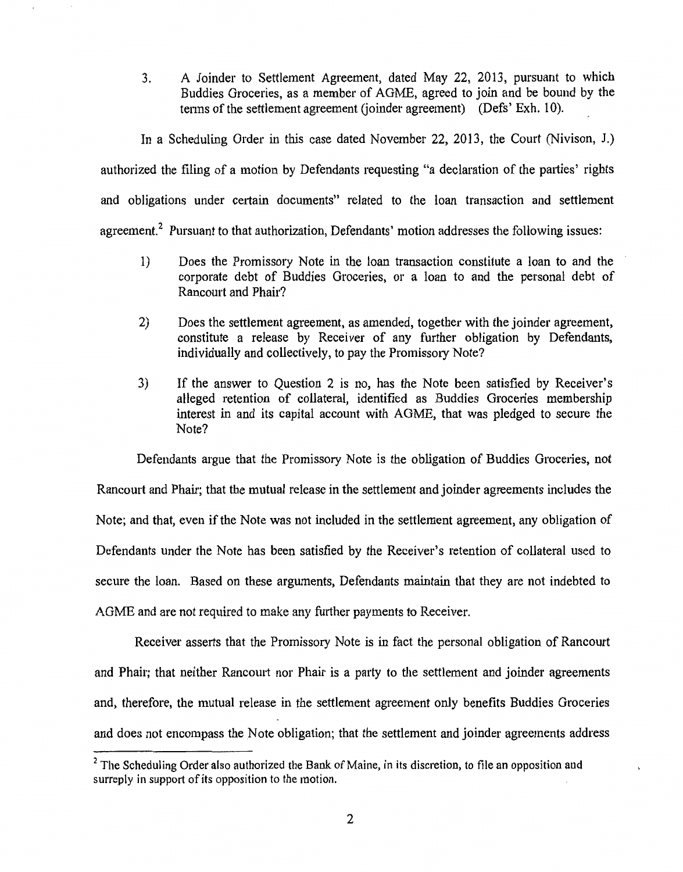3. A Joinder to Settlement Agreement, dated May 22, 2013, pursuant to which Buddies Groceries, as a member of AGME, agreed to join and be bound by the terms of the settlement agreement (joinder agreement) (Defs' Exh. 10).

In a Scheduling Order in this case dated November 22, 2013, the Court (Nivison, J.) authorized the filing of a motion by Defendants requesting "a declaration of the patties' rights and obligations under cettain documents" related to the loan transaction and settlement

agreement.<sup>2</sup> Pursuant to that authorization, Defendants' motion addresses the following issues:

- 1) Does the Promissory Note in the loan transaction constitute a loan to and the corporate debt of Buddies Groceries, or a loan to and the personal debt of Rancourt and Phair?
- 2) Does the settlement agreement, as amended, together with the joinder agreement, constitute a release by Receiver of any further obligation by Defendants, individually and collectively, to pay the Promissory Note?
- 3) If the answer to Question 2 is no, has the Note been satisfied by Receiver's alleged retention of collateral, identified as Buddies Groceries membership interest in and its capital account with AGME, that was pledged to secure the Note?

Defendants argue that the Promissory Note is the obligation of Buddies Groceries, not Rancourt and Phair; that the mutual release in the settlement and joinder agreements includes the Note; and that, even if the Note was not included in the settlement agreement, any obligation of Defendants under the Note has been satisfied by the Receiver's retention of collateral used to secure the loan. Based on these arguments, Defendants maintain that they are not indebted to AGME and are not required to make any further payments to Receiver.

Receiver asserts that the Promissory Note is in fact the personal obligation of Rancourt and Phair; that neither Rancourt nor Phair is a party to the settlement and joinder agreements and, therefore, the mutual release in the settlement agreement only benefits Buddies Groceries and does not encompass the Note obligation; that the settlement and joinder agreements address

 $<sup>2</sup>$  The Scheduling Order also authorized the Bank of Maine, in its discretion, to file an opposition and</sup> surreply in support of its opposition to the motion.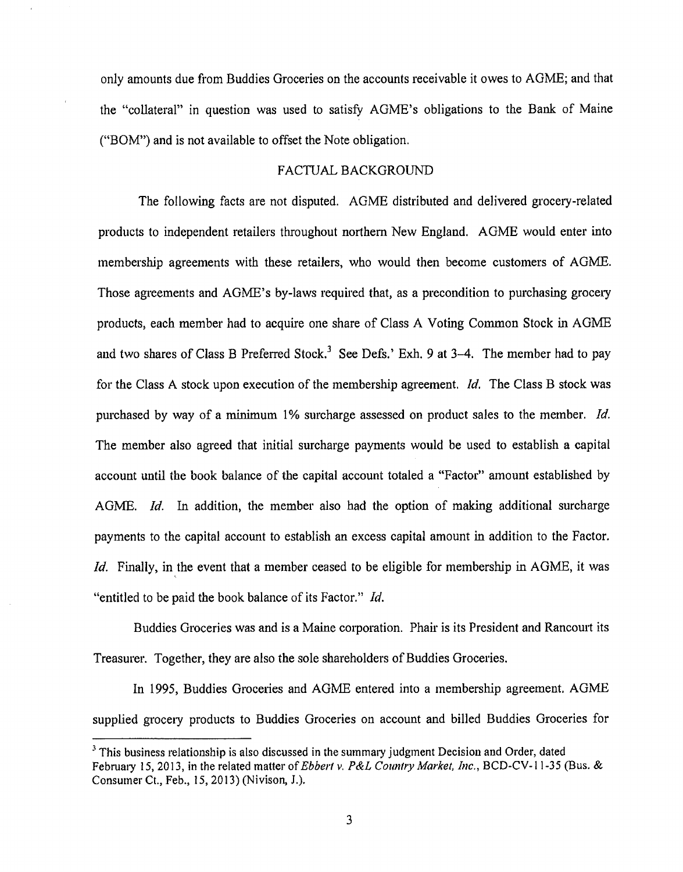only amounts due from Buddies Groceries on the accounts receivable it owes to AGME; and that the "collateral" in question was used to satisfy AGME's obligations to the Bank of Maine ("BOM") and is not available to offset the Note obligation.

# FACTUAL BACKGROUND

The following facts are not disputed. AGME distributed and delivered grocery-related products to independent retailers throughout northern New England. AGME would enter into membership agreements with these retailers, who would then become customers of AGME. Those agreements and AGME's by-laws required that, as a precondition to purchasing grocery products, each member had to acquire one share of Class A Voting Common Stock in AGME and two shares of Class B Preferred Stock.<sup>3</sup> See Defs.' Exh. 9 at 3-4. The member had to pay for the Class A stock upon execution of the membership agreement. *Id.* The Class B stock was purchased by way of a minimum 1% surcharge assessed on product sales to the member. *Id.*  The member also agreed that initial surcharge payments would be used to establish a capital account until the book balance of the capital account toialed a "Factor" amount established by AGME. *Id.* In addition, the member also had the option of making additional surcharge payments to the capital account to establish an excess capital amount in addition to the Factor. *Id.* Finally, in the event that a member ceased to be eligible for membership in AGME, it was "entitled to be paid the book balance of its Factor." *!d.* 

Buddies Groceries was and is a Maine corporation. Phair is its President and Rancourt its Treasurer. Together, they are also the sole shareholders of Buddies Groceries.

In 1995, Buddies Groceries and AGME entered into a membership agreement. AGME supplied grocery products to Buddies Groceries on account and billed Buddies Groceries for

<sup>&</sup>lt;sup>3</sup> This business relationship is also discussed in the summary judgment Decision and Order, dated February 15, 2013, in the related matter of *Ebbert v. P&L Country Market, Inc.*, BCD-CV-11-35 (Bus. & Consumer Ct., Feb., 15, 2013) (Nivison, J.).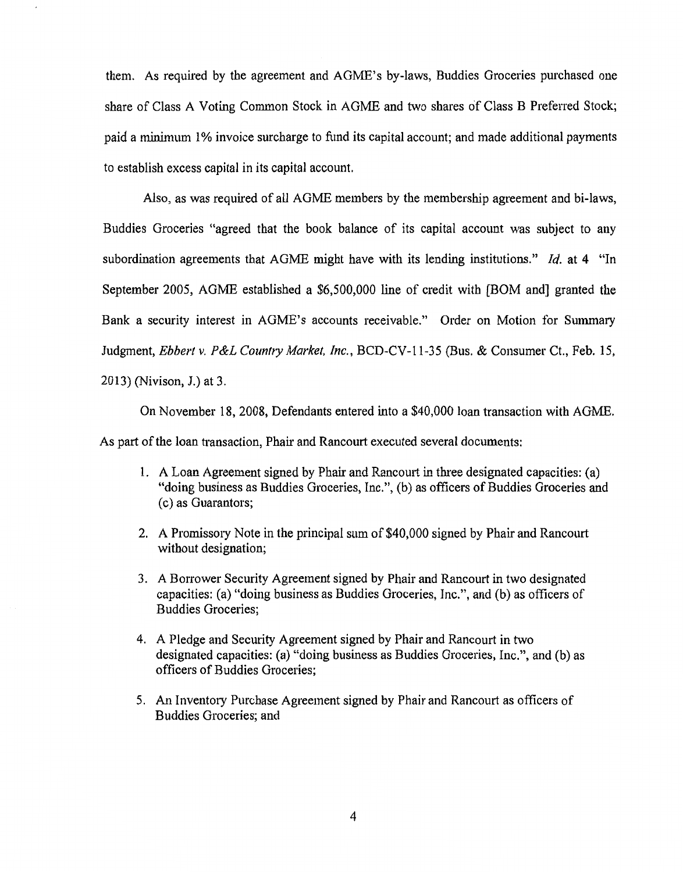them. As required by the agreement and AGME's by-laws, Buddies Groceries purchased one share of Class A Voting Common Stock in AGME and two shares of Class B Preferred Stock; paid a minimum 1% invoice surcharge to fund its capital account; and made additional payments to establish excess capital in its capital account.

Also, as was required of aU AGME members by the membership agreement and bi-laws, Buddies Groceries "agreed that the book balance of its capital account was subject to any subordination agreements that AGME might have with its lending institutions." *!d.* at 4 "In September 2005, AGME established a \$6,500,000 line of credit with [BOM and] granted the Bank a security interest in AGME's accounts receivable." Order on Motion for Summary Judgment, *Ebbert v. P&L Country Market, Inc.*, BCD-CV-11-35 (Bus. & Consumer Ct., Feb. 15, 2013) (Nivison, J.) at 3.

On November 18, 2008, Defendants entered into a \$40,000 loan transaction with AGME. As part of the loan transaction, Phair and Rancourt executed several documents:

- 1. A Loan Agreement signed by Phair and Rancourt in three designated capacities: (a) "doing business as Buddies Groceries, Inc.", (b) as officers of Buddies Groceries and (c) as Guarantors;
- 2. A Promissory Note in the principal sum of \$40,000 signed by Phair and Rancourt without designation;
- 3. A Borrower Security Agreement signed by Phair and Rancourt in two designated capacities: (a) "doing business as Buddies Groceries, Inc.", and (b) as officers of Buddies Groceries;
- 4. A Pledge and Security Agreement signed by Phair and Rancourt in two designated capacities: (a) "doing business as Buddies Groceries, Inc.", and (b) as officers of Buddies Groceries;
- 5. An Inventory Purchase Agreement signed by Phair and Rancourt as officers of Buddies Groceries; and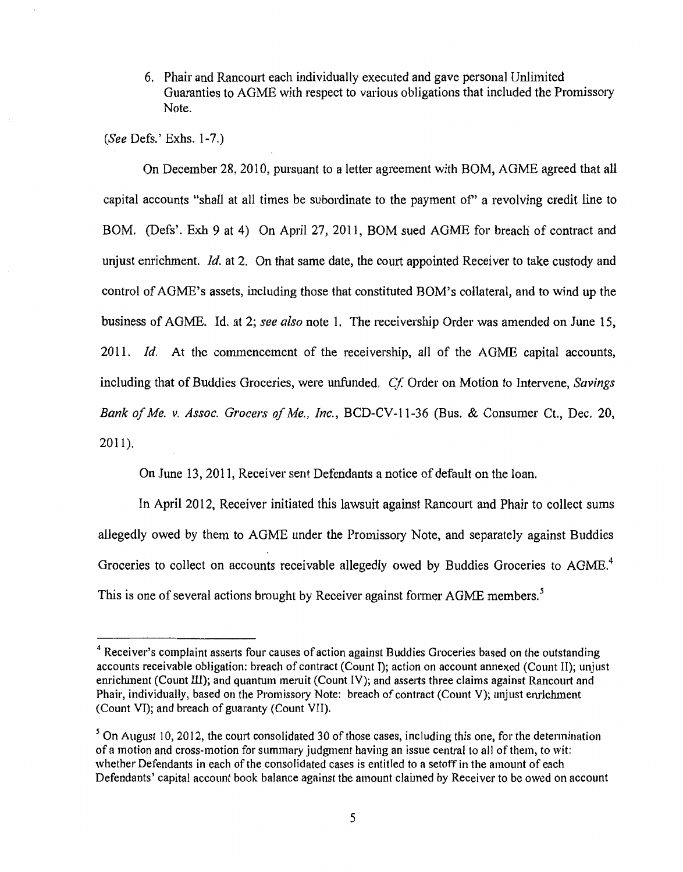6. Phair and Rancourt each individually executed and gave personal Unlimited Guaranties to AGME with respect to various obligations that included the Promissory Note.

*(See* Defs.' Exhs. 1-7.)

On December 28,2010, pursuant to a letter agreement with BOM, AGME agreed that all capital accounts "shall at all times be subordinate to the payment of' a revolving credit line to BOM. (Defs'. Exh 9 at 4) On April 27, 2011, BOM sued AGME for breach of contract and unjust emichment. *ld.* at 2. On that same date, the court appointed Receiver to take custody and control of AGME's assets, including those that constituted BOM's collateral, and to wind up the business of AGME. Id. at 2; *see also* note 1. The receivership Order was amended on June 15, 2011. *!d.* At the commencement of the receivership, all of the AGME capital accounts, including that of Buddies Groceries, were unfunded. *Cf.* Order on Motion to Intervene, *Savings Bank of Me. v. Assoc. Grocers of Me., Inc.,* BCD-CV-11-36 (Bus. & Consumer Ct., Dec. 20, 2011).

On June 13, 2011, Receiver sent Defendants a notice of default on the loan.

In April 2012, Receiver initiated this lawsuit against Rancourt and Phair to collect sums allegedly owed by them to AGME under the Promissory Note, and separately against Buddies Groceries to collect on accounts receivable allegedly owed by Buddies Groceries to AGME.<sup>4</sup> This is one of several actions brought by Receiver against former AGME members.<sup>5</sup>

<sup>&</sup>lt;sup>4</sup> Receiver's complaint asserts four causes of action against Buddies Groceries based on the outstanding accounts receivable obligation: breach of contract (Count T); action on account annexed (Count II); unjust enrichment (Count III); and quantum meruit (Count IV); and asserts three claims against Rancourt and Phair, individually, based on the Promissory Note: breach of contract (Count V); unjust enrichment (Count VI); and breach of guaranty (Count VII).

<sup>&</sup>lt;sup>5</sup>On August 10, 2012, the court consolidated 30 of those cases, including this one, for the determination of a motion and cross-motion for summary judgment having an issue central to all of them, to wit: whether Defendants in each of the consolidated cases is entitled to a setoff in the amount of each Defendants' capital account book balance against the amount claimed by Receiver to be owed on account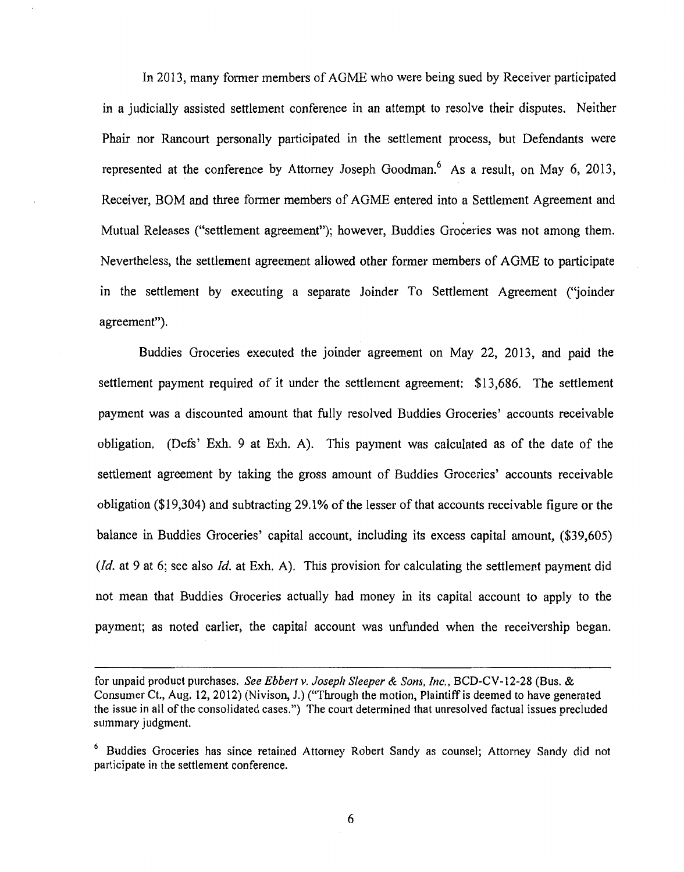In 2013, many former members of AGME who were being sued by Receiver participated in a judicially assisted settlement conference in an attempt to resolve their disputes. Neither Phair nor Rancourt personally participated in the settlement process, but Defendants were represented at the conference by Attorney Joseph Goodman.<sup>6</sup> As a result, on May 6, 2013, Receiver, BOM and three fonner members of AGME entered into a Settlement Agreement and Mutual Releases ("settlement agreement"); however, Buddies Groceries was not among them. Nevertheless, the settlement agreement allowed other former members of AGME to participate in the settlement by executing a separate Joinder To Settlement Agreement (''joinder agreement").

Buddies Groceries executed the joinder agreement on May 22, 2013, and paid the settlement payment required of it under the settlement agreement: \$13,686. The settlement payment was a discounted amount that fully resolved Buddies Groceries' accounts receivable obligation. (Defs' Exh. 9 at Exh. A). This payment was calculated as of the date of the settlement agreement by taking the gross amount of Buddies Groceries' accounts receivable obligation (\$19,304) and subtracting 29.1% of the lesser of that accounts receivable figure or the balance in Buddies Groceries' capital account, including its excess capital amount, (\$39,605) *(!d.* at 9 at 6; see also *!d.* at Exh. A). This provision for calculating the settlement payment did not mean that Buddies Groceries actually had money in its capital account to apply to the payment; as noted earlier, the capital account was unfunded when the receivership began.

for unpaid product purchases. *See Ebbert v. Joseph Sleeper* & *Sons, Inc.,* BCD-CV-12-28 (Bus. & Consumer Ct., Aug. 12, 2012) (Nivison, J.) ("Through the motion, Plaintiff is deemed to have generated the issue in all of the consolidated cases.") The court determined that umesolved factual issues precluded summary judgment.

<sup>&</sup>lt;sup>6</sup> Buddies Groceries has since retained Attorney Robert Sandy as counsel; Attorney Sandy did not participate in the settlement conference.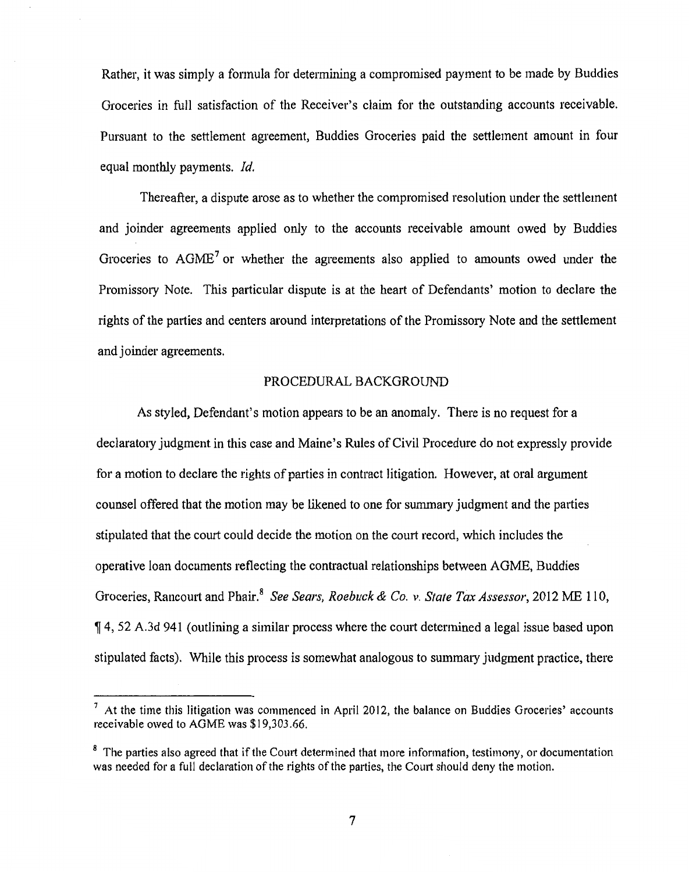Rather, it was simply a formula for determining a compromised payment to be made by Buddies Groceries in full satisfaction of the Receiver's claim for the outstanding accounts receivable. Pursuant to the settlement agreement, Buddies Groceries paid the settlement amount in four equal monthly payments. *!d.* 

Thereafter, a dispute arose as to whether the compromised resolution under the settlement and joinder agreements applied only to the accounts receivable amount owed by Buddies Groceries to  $AGME<sup>7</sup>$  or whether the agreements also applied to amounts owed under the Promissory Note. This particular dispute is at the heart of Defendants' motion to declare the rights of the parties and centers around interpretations of the Promissory Note and the settlement and joinder agreements.

# PROCEDURAL BACKGROUND

As styled, Defendant's motion appears to be an anomaly. There is no request for a declaratory judgment in this case and Maine's Rules of Civil Procedure do not expressly provide for a motion to declare the rights of parties in contract litigation. However, at oral argument counsel offered that the motion may be likened to one for summaty judgment and the parties stipulated that the court could decide the motion on the court record, which includes the operative loan documents reflecting the contractual relationships between AGME, Buddies Groceries, Rancourt and Phair.<sup>8</sup> *See Sears, Roebuck & Co. v. State Tax Assessor*, 2012 ME 110, <sup>~</sup>4, 52 A.3d 941 (outlining a similar process where the court determined a legal issue based upon stipulated facts). While this process is somewhat analogous to summary judgment practice, there

 $<sup>7</sup>$  At the time this litigation was commenced in April 2012, the balance on Buddies Groceries' accounts</sup> receivable owed to AGME was \$19,303.66.

<sup>&</sup>lt;sup>8</sup> The parties also agreed that if the Court determined that more information, testimony, or documentation was needed for a full declaration of the rights of the parties, the Court should deny the motion.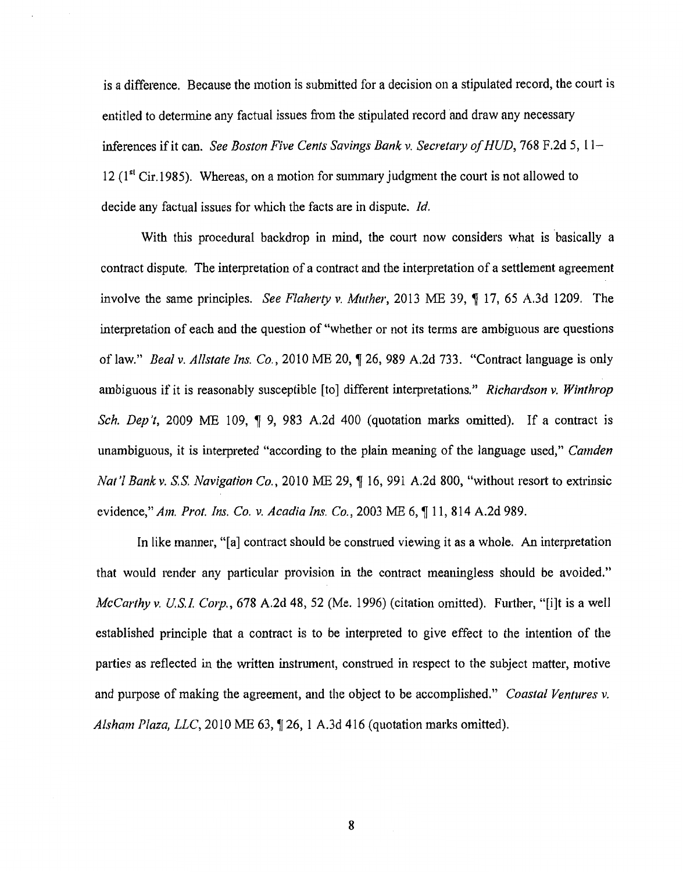is a difference. Because the motion is submitted for a decision on a stipulated record, the court is entitled to determine any factual issues from the stipulated record and draw any necessary inferences if it can. *See Boston Five Cents Savings Bank v. Secretary of HUD*, 768 F.2d 5, 11-12  $(1<sup>st</sup> Cir.1985)$ . Whereas, on a motion for summary judgment the court is not allowed to decide any factual issues for which the facts are in dispute. *Id.* 

With this procedural backdrop in mind, the court now considers what is basically a contract dispute. The interpretation of a contract and the interpretation of a settlement agreement involve the same principles. *See Flaherty v. Muther*, 2013 ME 39,  $\parallel$  17, 65 A.3d 1209. The interpretation of each and the question of "whether or not its terms are ambiguous are questions of law." *Beal v. Allstate Ins. Co.*, 2010 ME 20,  $\sqrt{ }$  26, 989 A.2d 733. "Contract language is only ambiguous if it is reasonably susceptible [to] different interpretations." *Richardson v. Winthrop Sch. Dep't*, 2009 ME 109, ¶ 9, 983 A.2d 400 (quotation marks omitted). If a contract is unambiguous, it is interpreted "according to the plain meaning of the language used," *Camden Nat'l Bank v. S.S. Navigation Co., 2010 ME 29, ¶ 16, 991 A.2d 800, "without resort to extrinsic* evidence," *Am. Prot. Ins. Co. v. Acadia Ins. Co.*, 2003 ME 6, 11, 814 A.2d 989.

In like manner, "[a] contract should be construed viewing it as a whole. An interpretation that would render any particular provision in the contract meaningless should be avoided." *McCarthy v. U.S.I. Corp.*, 678 A.2d 48, 52 (Me. 1996) (citation omitted). Further, "[i]t is a well established principle that a contract is to be interpreted to give effect to the intention of the parties as reflected in the written instrument, construed in respect to the subject matter, motive and purpose of making the agreement, and the object to be accomplished." *Coastal Ventures v. Alsham Plaza, LLC*, 2010 ME 63, 126, 1 A.3d 416 (quotation marks omitted).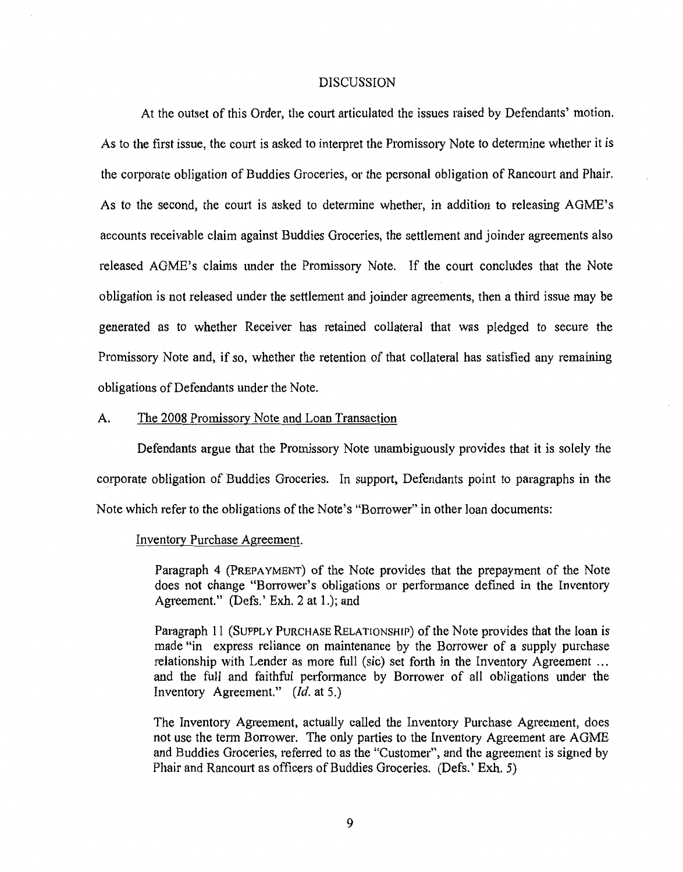#### DISCUSSION

At the outset of this Order, the court articulated the issues raised by Defendants' motion. As to the first issue, the court is asked to interpret the Promissory Note to determine whether it is the corporate obligation of Buddies Groceries, or the personal obligation of Rancourt and Phair. As to the second, the court is asked to determine whether, in addition to releasing AGME's accounts receivable claim against Buddies Groceries, the settlement and joinder agreements also released AGME's claims under the Promissory Note. If the court concludes that the Note obligation is not released under the settlement and joinder agreements, then a third issue may be generated as to whether Receiver has retained collateral that was pledged to secure the Promissory Note and, if so, whether the retention of that collateral has satisfied any remaining obligations of Defendants under the Note.

# A. The 2008 Promissory Note and Loan Transaction

Defendants argue that the Promissory Note unambiguously provides that it is solely the corporate obligation of Buddies Groceries. In support, Defendants point to paragraphs in the Note which refer to the obligations of the Note's "Borrower" in other loan documents:

# Inventory Purchase Agreement.

Paragraph 4 (PREPAYMENT) of the Note provides that the prepayment of the Note does not change "Borrower's obligations or performance defined in the Inventory Agreement." (Defs.' Exh. 2 at 1.); and

Paragraph 11 (SUPPLY PURCHASE RELATIONSHIP) of the Note provides that the loan is made "in express reliance on maintenance by the Borrower of a supply purchase relationship with Lender as more full (sic) set forth in the Inventory Agreement ... and the full and faithful petformance by Borrower of all obligations under the Inventory Agreement." *(!d.* at 5.)

The Inventory Agreement, actually called the Inventory Purchase Agreement, does not use the term Borrower. The only parties to the Inventory Agreement are AGME and Buddies Groceries, referred to as the "Customer", and the agreement is signed by Phair and Rancourt as officers of Buddies Groceries. (Defs.' Exh. 5)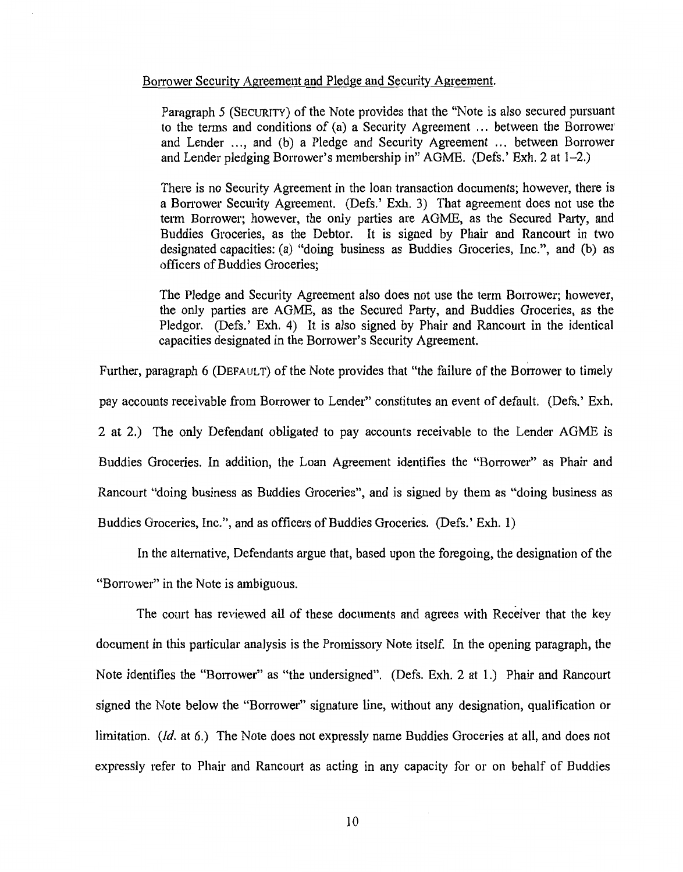#### Borrower Security Agreement and Pledge and Security Agreement.

Paragraph 5 (SECURITY) of the Note provides that the "Note is also secured pursuant to the terms and conditions of (a) a Security Agreement ... between the Borrower and Lender ..., and (b) a Pledge and Security Agreement ... between Borrower and Lender pledging Borrower's membership in" AGME. (Defs.' Exh. 2 at 1-2.)

There is no Security Agreement in the loan transaction documents; however, there is a Borrower Security Agreement. (Defs.' Exh. 3) That agreement does not use the term Borrower; however, the only parties are AGME, as the Secured Party, and Buddies Groceries, as the Debtor. It is signed by Phair and Rancourt in two designated capacities: (a) "doing business as Buddies Groceries, Inc.", and (b) as officers of Buddies Groceries;

The Pledge and Security Agreement also does not use the term Borrower; however, the only parties are AGME, as the Secured Party, and Buddies Groceries, as the Pledgor. (Defs.' Exh. 4) It is also signed by Phair and Rancourt in the identical capacities designated in the Borrower's Security Agreement.

Further, paragraph 6 (DEFAULT) of the Note provides that "the failure of the Borrower to timely pay accounts receivable from Borrower to Lender" constitutes an event of default. (Defs.' Exh. 2 at 2.) The only Defendant obligated to pay accounts receivable to the Lender AGME is Buddies Groceries. In addition, the Loan Agreement identifies the "Borrower" as Phair and Rancourt "doing business as Buddies Groceries", and is signed by them as "doing business as Buddies Groceries, Inc.", and as officers of Buddies Groceries. (Defs.' Exh. 1)

In the alternative, Defendants argue that, based upon the foregoing, the designation of the "Borrower" in the Note is ambiguous.

The court has reviewed all of these documents and agrees with Receiver that the key document in this particular analysis is the Promissory Note itself. In the opening paragraph, the Note identifies the "Borrower" as "the undersigned". (Defs. Exh. 2 at 1.) Phair and Rancourt signed the Note below the "Borrower" signature line, without any designation, qualification or limitation. *(!d.* at 6.) The Note does not expressly name Buddies Groceries at all, and does not expressly refer to Phair and Rancourt as acting in any capacity for or on behalf of Buddies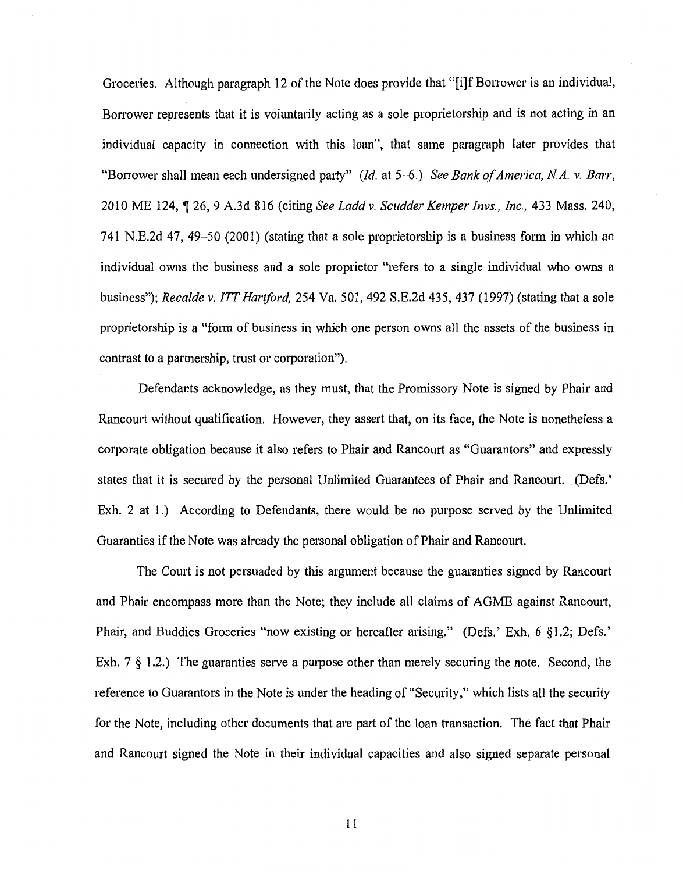Groceries. Although paragraph 12 of the Note does provide that "[i]f Borrower is an individual, Borrower represents that it is voluntarily acting as a sole proprietorship and is not acting in an individual capacity in connection with this loan", that same paragraph later provides that "Borrower shall mean each undersigned party" *(Id.* at 5-6.) *See Bank of America, N.A. v. Barr*, 2010 ME 124, ~ 26, 9 A.3d 816 (citing *See Laddv. Scudder Kemper Invs., Inc.,* 433 Mass. 240, 741 N.E.2d 47, 49-50 (2001) (stating that a sole proprietorship is a business form in which an individual owns the business and a sole proprietor "refers to a single individual who owns a business"); *Recalde v. ITT Hartford*, 254 Va. 501, 492 S.E.2d 435, 437 (1997) (stating that a sole proprietorship is a "fotm of business in which one person owns all the assets of the business in contrast to a patinership, trust or corporation").

Defendants acknowledge, as they must, that the Promissory Note is signed by Phair and Rancourt without qualification. However, they assert that, on its face, the Note is nonetheless a corporate obligation because it also refers to Phair and Rancourt as "Guarantors" and expressly states that it is secured by the personal Unlimited Guarantees of Phair and Rancourt. (Defs.' Exh. 2 at 1.) According to Defendants, there would be no purpose served by the Unlimited Guaranties if the Note was already the personal obligation of Phair and Rancourt.

The Court is not persuaded by this argument because the guaranties signed by Rancourt and Phair encompass more than the Note; they include all claims of AGME against Rancourt, Phair, and Buddies Groceries "now existing or hereafter arising." (Defs.' Exh. 6 §1.2; Defs.' Exh. 7 § 1.2.) The guaranties serve a purpose other than merely securing the note. Second, the reference to Guarantors in the Note is under the heading of"Security," which lists all the security for the Note, including other documents that are patt of the loan transaction. The fact that Phair and Rancourt signed the Note in their individual capacities and also signed separate personal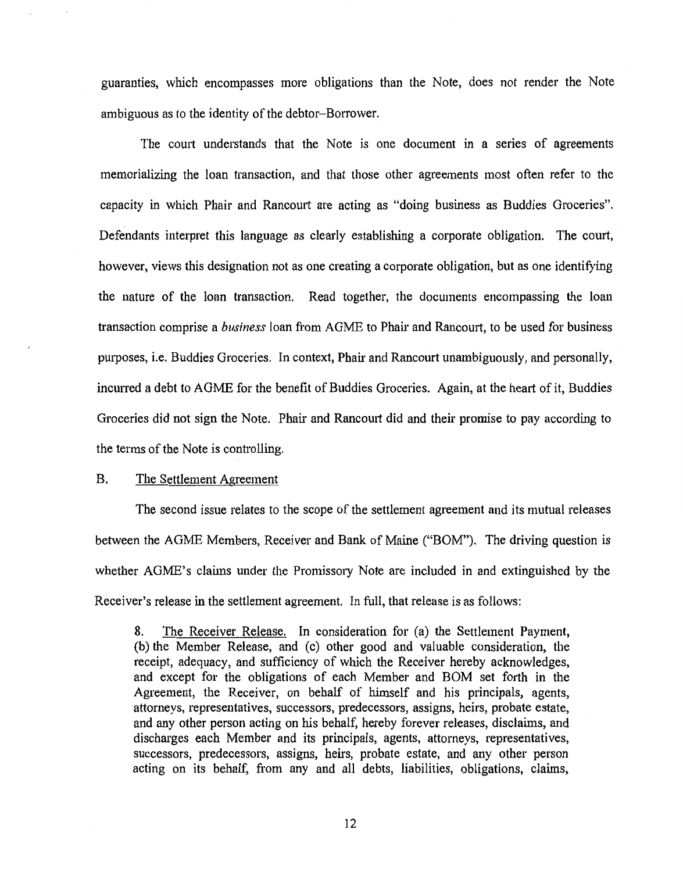guaranties, which encompasses more obligations than the Note, does not render the Note ambiguous as to the identity of the debtor-Borrower.

The court understands that the Note is one document in a series of agreements memorializing the loan transaction, and that those other agreements most often refer to the capacity in which Phair and Rancourt are acting as "doing business as Buddies Groceries". Defendants interpret this language as clearly establishing a corporate obligation. The court, however, views this designation not as one creating a corporate obligation, but as one identifying the nature of the loan transaction. Read together, the documents encompassing the loan transaction comprise a *business* loan from AGME to Phair and Rancourt, to be used for business purposes, i.e. Buddies Groceries. In context, Phair and Rancourt unambiguously, and personally, incurred a debt to AGME for the benefit of Buddies Groceries. Again, at the heart of it, Buddies Groceries did not sign the Note. Phair and Rancourt did and their promise to pay according to the terms of the Note is controlling.

# B. The Settlement Agreement

The second issue relates to the scope of the settlement agreement and its mutual releases between the AGME Members, Receiver and Bank of Maine ("BOM"). The driving question is whether AGME's claims under the Promissory Note are included in and extinguished by the Receiver's release in the settlement agreement. In full, that release is as follows:

8. The Receiver Release. In consideration for (a) the Settlement Payment, (b) the Member Release, and (c) other good and valuable consideration, the receipt, adequacy, and sufficiency of which the Receiver hereby acknowledges, and except for the obligations of each Member and BOM set forth in the Agreement, the Receiver, on behalf of himself and his principals, agents, attorneys, representatives, successors, predecessors, assigns, heirs, probate estate, and any other person acting on his behalf, hereby forever releases, disclaims, and discharges each Member and its principals, agents, attorneys, representatives, successors, predecessors, assigns, heirs, probate estate, and any other person acting on its behalf, from any and all debts, liabilities, obligations, claims,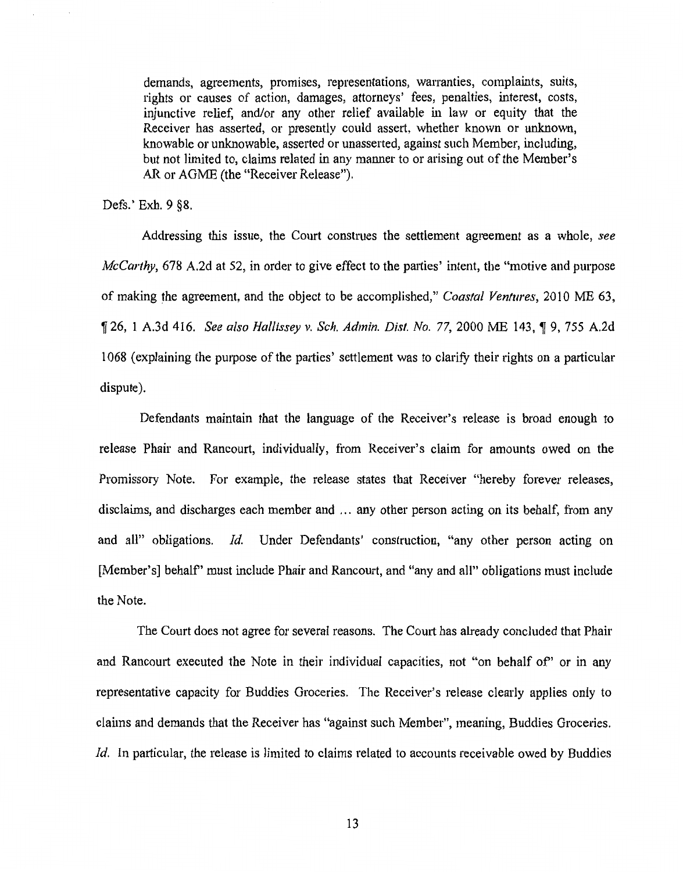demands, agreements, promises, representations, warranties, complaints, suits, rights or causes of action, damages, attorneys' fees, penalties, interest, costs, injunctive relief, and/or any other relief available in law or equity that the Receiver has asserted, or presently could assert, whether known or unknown, knowable or unknowable, asserted or unasserted, against such Member, including, but not limited to, claims related in any manner to or arising out of the Member's AR or AGME (the "Receiver Release").

Defs.' Exh. 9 §8.

Addressing this issue, the Court construes the settlement agreement as a whole, *see McCarthy,* 678 A.2d at 52, in order to give effect to the parties' intent, the "motive and purpose of making the agreement, and the object to be accomplished," *Coastal Ventures,* 2010 ME 63, <sup>~</sup>26, 1 A.3d 416. *See also Hallissey v. Sch. Admin. Dist. No.* 77, 2000 ME 143, ~ 9, 755 A.2d 1068 (explaining the purpose of the parties' settlement was to clarify their rights on a particular dispute).

Defendants maintain that the language of the Receiver's release is broad enough to release Phair and Rancourt, individually, from Receiver's claim for amounts owed on the Promissory Note. For example, the release states that Receiver "hereby forever releases, disclaims, and discharges each member and ... any other person acting on its behalf, from any and all" obligations. *!d.* Under Defendants' construction, "any other person acting on [Member's] behalf" must include Phair and Rancourt, and "any and all" obligations must include the Note.

The Court does not agree for several reasons. The Court has already concluded that Phair and Rancourt executed the Note in their individual capacities, not "on behalf of" or in any representative capacity for Buddies Groceries. The Receiver's release clearly applies only to claims and demands that the Receiver has "against such Member", meaning, Buddies Groceries. *Id.* In particular, the release is limited to claims related to accounts receivable owed by Buddies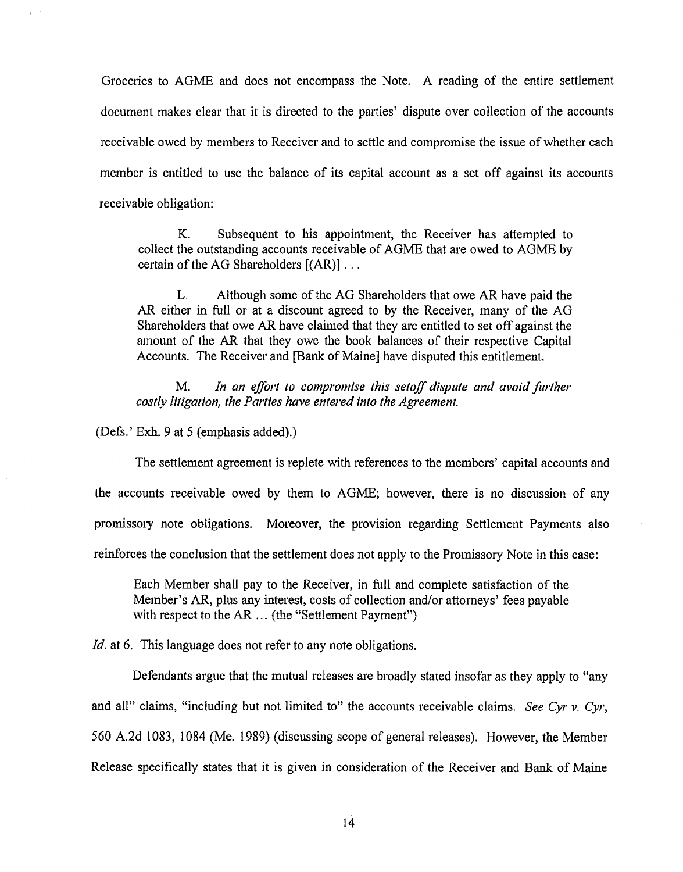Groceries to AGME and does not encompass the Note. A reading of the entire settlement document makes clear that it is directed to the parties' dispute over collection of the accounts receivable owed by members to Receiver and to settle and compromise the issue of whether each member is entitled to use the balance of its capital account as a set off against its accounts receivable obligation:

K. Subsequent to his appointment, the Receiver has attempted to collect the outstanding accounts receivable of AGME that are owed to AGME by certain of the AG Shareholders [(AR)] ...

L. Although some of the AG Shareholders that owe AR have paid the AR either in full or at a discount agreed to by the Receiver, many of the AG Shareholders that owe AR have claimed that they are entitled to set off against the amount of the AR that they owe the book balances of their respective Capital Accounts. The Receiver and [Bank of Maine] have disputed this entitlement.

M. *In an effort to compromise this setoff dispute and avoid further costly litigation, the Parties have entered into the Agreement.* 

(Defs.' Exh. 9 at 5 (emphasis added).)

The settlement agreement is replete with references to the members' capital accounts and the accounts receivable owed by them to AGME; however, there is no discussion of any promissory note obligations. Moreover, the provision regarding Settlement Payments also reinforces the conclusion that the settlement does not apply to the Promissory Note in this case:

Each Member shall pay to the Receiver, in full and complete satisfaction of the Member's AR, plus any interest, costs of collection and/or attorneys' fees payable with respect to the  $AR$  ... (the "Settlement Payment")

*Id.* at 6. This language does not refer to any note obligations.

Defendants argue that the mutual releases are broadly stated insofar as they apply to "any and all" claims, "including but not limited to" the accounts receivable claims. *See Cyr v. Cyr*, 560 A.2d 1083, 1 084 (Me. 1989) (discussing scope of general releases). However, the Member Release specifically states that it is given in consideration of the Receiver and Bank of Maine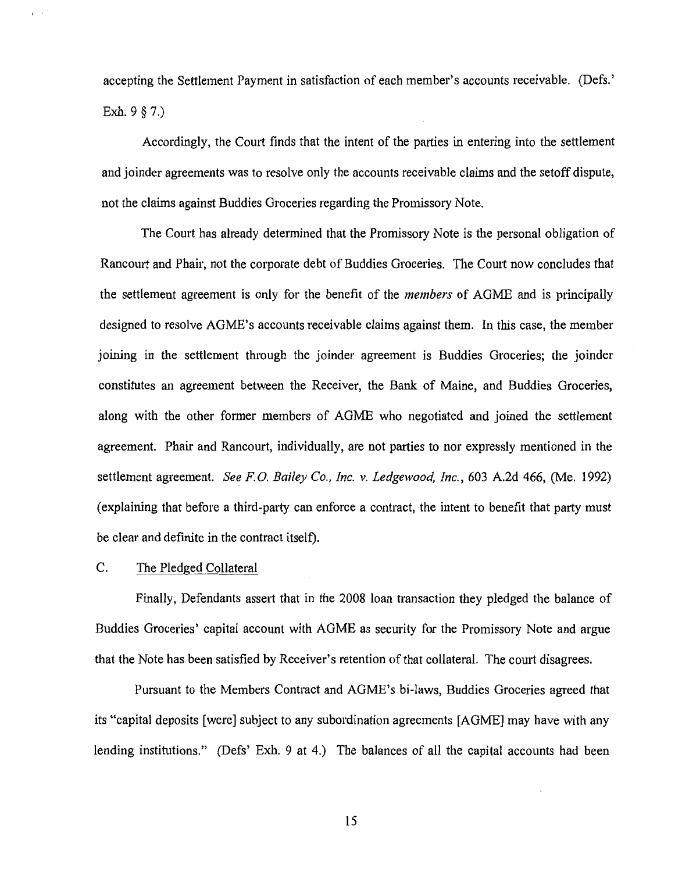accepting the Settlement Payment in satisfaction of each member's accounts receivable. (Defs.' Exh. 9 § 7.)

Accordingly, the Court finds that the intent of the parties in entering into the settlement and joinder agreements was to resolve only the accounts receivable claims and the setoff dispute, not the claims against Buddies Groceries regarding the Promissory Note.

The Court has already determined that the Promissory Note is the personal obligation of Rancourt and Phair, not the corporate debt of Buddies Groceries. The Court now concludes that the settlement agreement is only for the benefit of the *members* of AGME and is principally designed to resolve AGME's accounts receivable claims against them. In this case, the member joining in the settlement through the joinder agreement is Buddies Groceries; the joinder constitutes an agreement between the Receiver, the Bank of Maine, and Buddies Groceries, along with the other former members of AGME who negotiated and joined the settlement agreement. Phair and Rancourt, individually, are not parties to nor expressly mentioned in the settlement agreement. *See F.O. Bailey Co., Inc. v. Ledgewood, Inc.*, 603 A.2d 466, (Me. 1992) (explaining that before a third-party can enforce a contract, the intent to benefit that party must be clear and definite in the contract itself).

# C. The Pledged Collateral

Finally, Defendants assert that in the 2008 loan transaction they pledged the balance of Buddies Groceries' capital account with AGME as security for the Promissory Note and argue that the Note has been satisfied by Receiver's retention of that collateral. The court disagrees.

Pursuant to the Members Contract and AGME's hi-laws, Buddies Groceries agreed that its "capital deposits [were] subject to any subordination agreements [AGME] may have with any lending institutions." (Defs' Exh. 9 at 4.) The balances of all the capital accounts had been

15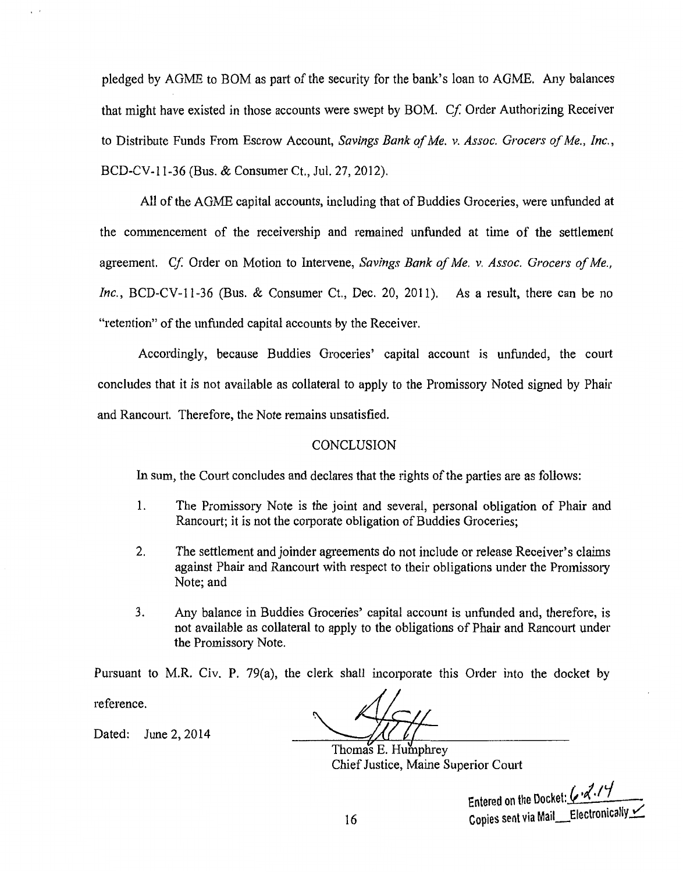pledged by AGME to BOM as part of the security for the bank's loan to AGME. Any balances that might have existed in those accounts were swept by BOM. *Cf.* Order Authorizing Receiver to Distribute Funds From Escrow Account, *Savings Bank of Me. v. Assoc. Grocers of Me., Inc.,*  BCD-CV-11-36 (Bus. & Consumer Ct., Jul. 27, 2012).

All of the AGME capital accounts, including that of Buddies Groceries, were unfunded at the commencement of the receivership and remained unfunded at time of the settlement agreement. *Cf* Order on Motion to Intervene, *Savings Bank of Me. v. Assoc. Grocers of Me., Inc.*, BCD-CV-11-36 (Bus. & Consumer Ct., Dec. 20, 2011). As a result, there can be no "retention" of the unfunded capital accounts by the Receiver.

Accordingly, because Buddies Groceries' capital account is unfunded, the court concludes that it is not available as collateral to apply to the Promissory Noted signed by Phair and Rancourt. Therefore, the Note remains unsatisfied.

# **CONCLUSION**

In sum, the Court concludes and declares that the rights of the parties are as follows:

- 1. The Promissory Note is the joint and several, personal obligation of Phair and Rancourt; it is not the corporate obligation of Buddies Groceries;
- 2. The settlement and joinder agreements do not include or release Receiver's claims against Phair and Rancourt with respect to their obligations under the Promissory Note; and
- 3. Any balance in Buddies Groceries' capital account is unfunded and, therefore, is not available as collateral to apply to the obligations of Phair and Rancourt under the Promissory Note.

Pursuant to M.R. Civ. P. 79(a), the clerk shall incorporate this Order into the docket by

reference.

Dated: June 2, 2014

Thomas E. Humphrey Chief Justice, Maine Superior Court

Entered on the Docket:  $\sqrt{2.77}$ Copies sent via Mail\_Electronically